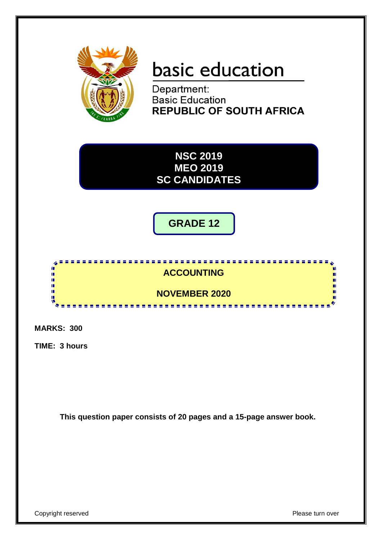

# basic education

Department: **Basic Education REPUBLIC OF SOUTH AFRICA** 

**NSC 2019 MEO 2019 SC CANDIDATES**

**GRADE 12**



**MARKS: 300**

**TIME: 3 hours**

**This question paper consists of 20 pages and a 15-page answer book.**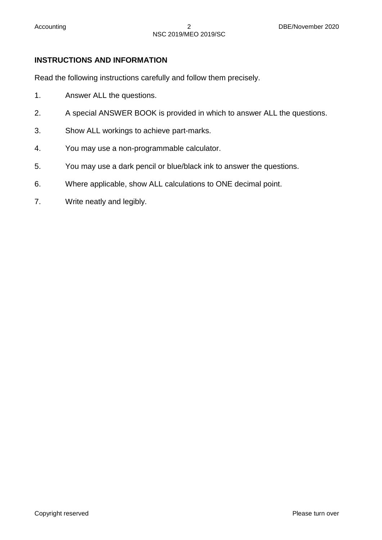# **INSTRUCTIONS AND INFORMATION**

Read the following instructions carefully and follow them precisely.

- 1. Answer ALL the questions.
- 2. A special ANSWER BOOK is provided in which to answer ALL the questions.
- 3. Show ALL workings to achieve part-marks.
- 4. You may use a non-programmable calculator.
- 5. You may use a dark pencil or blue/black ink to answer the questions.
- 6. Where applicable, show ALL calculations to ONE decimal point.
- 7. Write neatly and legibly.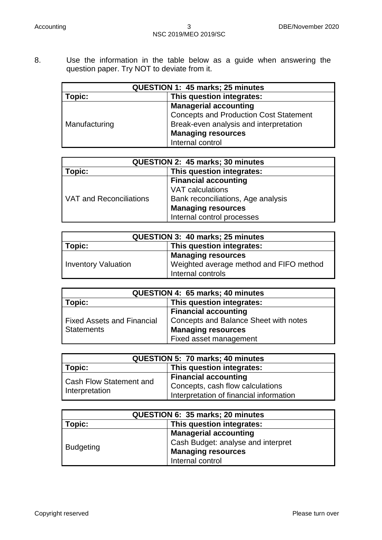8. Use the information in the table below as a guide when answering the question paper. Try NOT to deviate from it.

| QUESTION 1: 45 marks; 25 minutes           |                                               |  |  |
|--------------------------------------------|-----------------------------------------------|--|--|
| This question integrates:<br><b>Fopic:</b> |                                               |  |  |
|                                            | <b>Managerial accounting</b>                  |  |  |
| Manufacturing                              | <b>Concepts and Production Cost Statement</b> |  |  |
|                                            | Break-even analysis and interpretation        |  |  |
|                                            | <b>Managing resources</b>                     |  |  |
|                                            | Internal control                              |  |  |

| QUESTION 2: 45 marks; 30 minutes    |                                    |  |  |  |  |
|-------------------------------------|------------------------------------|--|--|--|--|
| This question integrates:<br>Topic: |                                    |  |  |  |  |
| VAT and Reconciliations             | <b>Financial accounting</b>        |  |  |  |  |
|                                     | <b>VAT calculations</b>            |  |  |  |  |
|                                     | Bank reconciliations, Age analysis |  |  |  |  |
|                                     | <b>Managing resources</b>          |  |  |  |  |
|                                     | Internal control processes         |  |  |  |  |

| <b>QUESTION 3: 40 marks; 25 minutes</b>                                                                                 |  |  |  |  |
|-------------------------------------------------------------------------------------------------------------------------|--|--|--|--|
| This question integrates:<br>Topic:                                                                                     |  |  |  |  |
| <b>Managing resources</b><br>Weighted average method and FIFO method<br><b>Inventory Valuation</b><br>Internal controls |  |  |  |  |

| QUESTION 4: 65 marks; 40 minutes                |                                       |  |  |  |
|-------------------------------------------------|---------------------------------------|--|--|--|
| This question integrates:<br>Topic:             |                                       |  |  |  |
|                                                 | <b>Financial accounting</b>           |  |  |  |
| <b>Fixed Assets and Financial</b><br>Statements | Concepts and Balance Sheet with notes |  |  |  |
|                                                 | <b>Managing resources</b>             |  |  |  |
|                                                 | Fixed asset management                |  |  |  |

| <b>QUESTION 5: 70 marks: 40 minutes</b>          |                                                                                                            |  |  |
|--------------------------------------------------|------------------------------------------------------------------------------------------------------------|--|--|
| Topic:<br>This question integrates:              |                                                                                                            |  |  |
| <b>Cash Flow Statement and</b><br>Interpretation | <b>Financial accounting</b><br>Concepts, cash flow calculations<br>Interpretation of financial information |  |  |

| QUESTION 6: 35 marks; 20 minutes    |                                    |  |  |
|-------------------------------------|------------------------------------|--|--|
| This question integrates:<br>Topic: |                                    |  |  |
|                                     | <b>Managerial accounting</b>       |  |  |
| Budgeting                           | Cash Budget: analyse and interpret |  |  |
|                                     | <b>Managing resources</b>          |  |  |
|                                     | Internal control                   |  |  |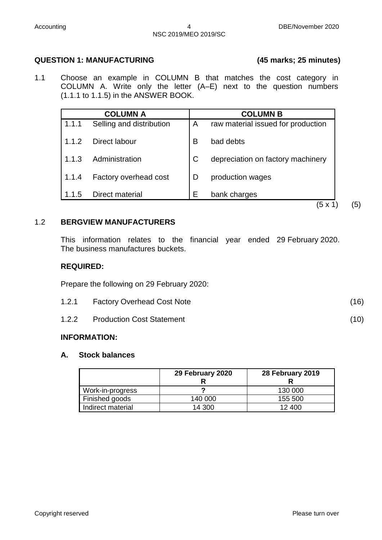# **QUESTION 1: MANUFACTURING (45 marks; 25 minutes)**

1.1 Choose an example in COLUMN B that matches the cost category in COLUMN A. Write only the letter (A–E) next to the question numbers (1.1.1 to 1.1.5) in the ANSWER BOOK.

| <b>COLUMN A</b> |                          | <b>COLUMN B</b> |                                    |
|-----------------|--------------------------|-----------------|------------------------------------|
| 1.1.1           | Selling and distribution | A               | raw material issued for production |
| 1.1.2           | Direct labour            | B               | bad debts                          |
| 1.1.3           | Administration           | C               | depreciation on factory machinery  |
| 1.1.4           | Factory overhead cost    | D               | production wages                   |
| 1.1.5           | Direct material          | E               | bank charges                       |
|                 |                          |                 | ΄5 x                               |

### 1.2 **BERGVIEW MANUFACTURERS**

This information relates to the financial year ended 29 February 2020. The business manufactures buckets.

#### **REQUIRED:**

Prepare the following on 29 February 2020:

| <b>Factory Overhead Cost Note</b> | (16) |
|-----------------------------------|------|
|                                   |      |

1.2.2 Production Cost Statement (10)

#### **INFORMATION:**

#### **A. Stock balances**

|                   | 29 February 2020 | 28 February 2019 |  |
|-------------------|------------------|------------------|--|
| Work-in-progress  |                  | 130 000          |  |
| Finished goods    | 140 000          | 155 500          |  |
| Indirect material | 14 300           | 12 400           |  |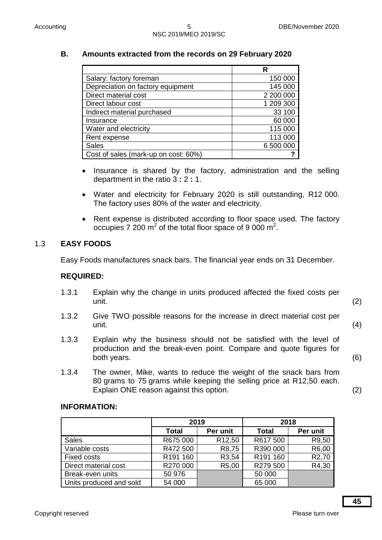# **B. Amounts extracted from the records on 29 February 2020**

|                                      | R         |
|--------------------------------------|-----------|
| Salary: factory foreman              | 150 000   |
| Depreciation on factory equipment    | 145 000   |
| Direct material cost                 | 2 200 000 |
| Direct labour cost                   | 1 209 300 |
| Indirect material purchased          | 33 100    |
| Insurance                            | 60 000    |
| Water and electricity                | 115 000   |
| Rent expense                         | 113 000   |
| <b>Sales</b>                         | 6 500 000 |
| Cost of sales (mark-up on cost: 60%) |           |

- Insurance is shared by the factory, administration and the selling department in the ratio 3 **:** 2 **:** 1.
- Water and electricity for February 2020 is still outstanding, R12 000. The factory uses 80% of the water and electricity.
- Rent expense is distributed according to floor space used. The factory occupies 7 200  $m^2$  of the total floor space of 9 000  $m^2$ .

# 1.3 **EASY FOODS**

Easy Foods manufactures snack bars. The financial year ends on 31 December.

#### **REQUIRED:**

- 1.3.1 Explain why the change in units produced affected the fixed costs per unit. (2)
- 1.3.2 Give TWO possible reasons for the increase in direct material cost per unit. (4)
- 1.3.3 Explain why the business should not be satisfied with the level of production and the break-even point. Compare and quote figures for both years. (6)
- 1.3.4 The owner, Mike, wants to reduce the weight of the snack bars from 80 grams to 75 grams while keeping the selling price at R12,50 each. Explain ONE reason against this option. (2)

#### **INFORMATION:**

|                         | 2019                 |                    | 2018         |                    |
|-------------------------|----------------------|--------------------|--------------|--------------------|
|                         | <b>Total</b>         | Per unit           | <b>Total</b> | Per unit           |
| <b>Sales</b>            | R675 000             | R <sub>12,50</sub> | R617 500     | R9,50              |
| Variable costs          | R472 500             | R8,75              | R390 000     | R6,00              |
| <b>Fixed costs</b>      | R <sub>191</sub> 160 | R3,54              | R191 160     | R <sub>2</sub> ,70 |
| Direct material cost    | R270 000             | R5,00              | R279 500     | R4,30              |
| Break-even units        | 50 976               |                    | 50 000       |                    |
| Units produced and sold | 54 000               |                    | 65 000       |                    |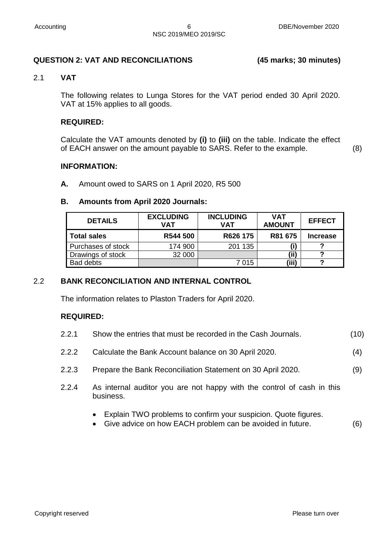#### **QUESTION 2: VAT AND RECONCILIATIONS (45 marks; 30 minutes)**

#### 2.1 **VAT**

The following relates to Lunga Stores for the VAT period ended 30 April 2020. VAT at 15% applies to all goods.

#### **REQUIRED:**

Calculate the VAT amounts denoted by **(i)** to **(iii)** on the table. Indicate the effect of EACH answer on the amount payable to SARS. Refer to the example. (8)

# **INFORMATION:**

**A.** Amount owed to SARS on 1 April 2020, R5 500

# **B. Amounts from April 2020 Journals:**

| <b>DETAILS</b>     | <b>EXCLUDING</b><br>VAT | <b>INCLUDING</b><br>VAT | <b>VAT</b><br><b>AMOUNT</b> | <b>EFFECT</b>   |
|--------------------|-------------------------|-------------------------|-----------------------------|-----------------|
| <b>Total sales</b> | R544 500                | R626 175                | R81 675                     | <b>Increase</b> |
| Purchases of stock | 174 900                 | 201 135                 | (i)                         |                 |
| Drawings of stock  | 32 000                  |                         | ʻii)                        |                 |
| <b>Bad debts</b>   |                         | 7015                    | (iii)                       | ◠               |

# 2.2 **BANK RECONCILIATION AND INTERNAL CONTROL**

The information relates to Plaston Traders for April 2020.

#### **REQUIRED:**

| 2.2.1 | Show the entries that must be recorded in the Cash Journals. | (10) |
|-------|--------------------------------------------------------------|------|
|-------|--------------------------------------------------------------|------|

- 2.2.2 Calculate the Bank Account balance on 30 April 2020. (4)
- 2.2.3 Prepare the Bank Reconciliation Statement on 30 April 2020. (9)
- 2.2.4 As internal auditor you are not happy with the control of cash in this business.
	- Explain TWO problems to confirm your suspicion. Quote figures.
	- Give advice on how EACH problem can be avoided in future. (6)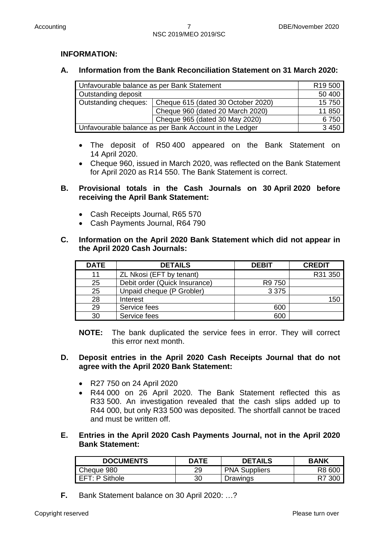# **INFORMATION:**

# **A. Information from the Bank Reconciliation Statement on 31 March 2020:**

| Unfavourable balance as per Bank Statement             | R <sub>19</sub> 500                |        |
|--------------------------------------------------------|------------------------------------|--------|
| Outstanding deposit                                    | 50 400                             |        |
| Outstanding cheques:                                   | Cheque 615 (dated 30 October 2020) | 15 750 |
|                                                        | 11 850                             |        |
|                                                        | 6750                               |        |
| Unfavourable balance as per Bank Account in the Ledger | 3 4 5 0                            |        |

- The deposit of R50 400 appeared on the Bank Statement on 14 April 2020.
- Cheque 960, issued in March 2020, was reflected on the Bank Statement for April 2020 as R14 550. The Bank Statement is correct.

# **B. Provisional totals in the Cash Journals on 30 April 2020 before receiving the April Bank Statement:**

- Cash Receipts Journal, R65 570
- Cash Payments Journal, R64 790

#### **C. Information on the April 2020 Bank Statement which did not appear in the April 2020 Cash Journals:**

| <b>DATE</b> | <b>DETAILS</b>                | <b>DEBIT</b> | <b>CREDIT</b> |
|-------------|-------------------------------|--------------|---------------|
| 11          | ZL Nkosi (EFT by tenant)      |              | R31 350       |
| 25          | Debit order (Quick Insurance) | R9 750       |               |
| 25          | Unpaid cheque (P Grobler)     | 3 3 7 5      |               |
| 28          | Interest                      |              | 150           |
| 29          | Service fees                  | 600          |               |
| 30          | Service fees                  | 600          |               |

**NOTE:** The bank duplicated the service fees in error. They will correct this error next month.

# **D. Deposit entries in the April 2020 Cash Receipts Journal that do not agree with the April 2020 Bank Statement:**

- R27 750 on 24 April 2020
- R44 000 on 26 April 2020. The Bank Statement reflected this as R33 500. An investigation revealed that the cash slips added up to R44 000, but only R33 500 was deposited. The shortfall cannot be traced and must be written off.

#### **E. Entries in the April 2020 Cash Payments Journal, not in the April 2020 Bank Statement:**

| <b>DOCUMENTS</b> | <b>DATE</b> | <b>DETAILS</b>       | <b>BANK</b> |
|------------------|-------------|----------------------|-------------|
| Cheque 980       | 29          | <b>PNA Suppliers</b> | R8 600      |
| I EFT: P Sithole | 30          | Drawings             | R7 300      |

**F.** Bank Statement balance on 30 April 2020: …?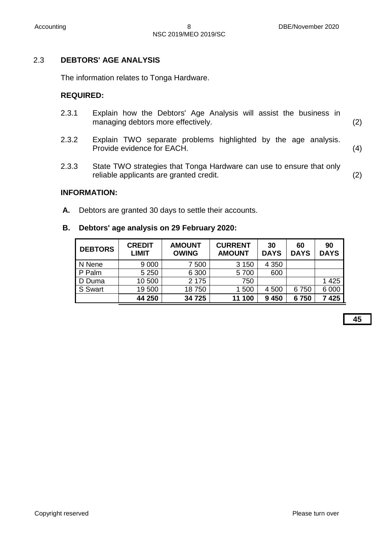# 2.3 **DEBTORS' AGE ANALYSIS**

The information relates to Tonga Hardware.

# **REQUIRED:**

| 2.3.1 |  |                                    |  |  | Explain how the Debtors' Age Analysis will assist the business in |     |
|-------|--|------------------------------------|--|--|-------------------------------------------------------------------|-----|
|       |  | managing debtors more effectively. |  |  |                                                                   | (2) |

- 2.3.2 Explain TWO separate problems highlighted by the age analysis. Provide evidence for EACH. (4)
- 2.3.3 State TWO strategies that Tonga Hardware can use to ensure that only reliable applicants are granted credit. (2)

#### **INFORMATION:**

**A.** Debtors are granted 30 days to settle their accounts.

# **B. Debtors' age analysis on 29 February 2020:**

| <b>DEBTORS</b> | <b>CREDIT</b><br><b>LIMIT</b> | <b>AMOUNT</b><br><b>OWING</b> | <b>CURRENT</b><br><b>AMOUNT</b> | 30<br><b>DAYS</b> | 60<br><b>DAYS</b> | 90<br><b>DAYS</b> |
|----------------|-------------------------------|-------------------------------|---------------------------------|-------------------|-------------------|-------------------|
| N Nene         | 9 0 0 0                       | 7500                          | 3 1 5 0                         | 4 3 5 0           |                   |                   |
| P Palm         | 5 2 5 0                       | 6 3 0 0                       | 5700                            | 600               |                   |                   |
| D Duma         | 10 500                        | 2 1 7 5                       | 750                             |                   |                   | 1425              |
| S Swart        | 19 500                        | 18750                         | 1 500                           | 4 500             | 6750              | 6 0 0 0           |
|                | 44 250                        | 34 725                        | 11 100                          | 9 4 5 0           | 6750              | 7425              |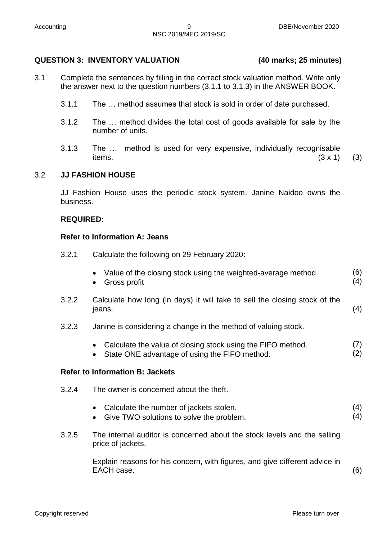# **QUESTION 3: INVENTORY VALUATION (40 marks; 25 minutes)**

- 3.1 Complete the sentences by filling in the correct stock valuation method. Write only the answer next to the question numbers (3.1.1 to 3.1.3) in the ANSWER BOOK.
	- 3.1.1 The … method assumes that stock is sold in order of date purchased.
	- 3.1.2 The … method divides the total cost of goods available for sale by the number of units.
	- 3.1.3 The … method is used for very expensive, individually recognisable items.  $(3 \times 1)$  (3)

3.2 **JJ FASHION HOUSE**

JJ Fashion House uses the periodic stock system. Janine Naidoo owns the business.

#### **REQUIRED:**

#### **Refer to Information A: Jeans**

3.2.1 Calculate the following on 29 February 2020:

| Value of the closing stock using the weighted-average method | (6) |
|--------------------------------------------------------------|-----|
| • Gross profit                                               | (4) |

- 3.2.2 Calculate how long (in days) it will take to sell the closing stock of the jeans. (4)
- 3.2.3 Janine is considering a change in the method of valuing stock.
	- Calculate the value of closing stock using the FIFO method. (7)
	- State ONE advantage of using the FIFO method.

#### **Refer to Information B: Jackets**

- 3.2.4 The owner is concerned about the theft.
	- Calculate the number of jackets stolen. (4)
	- Give TWO solutions to solve the problem. (4)
- 3.2.5 The internal auditor is concerned about the stock levels and the selling price of jackets.

Explain reasons for his concern, with figures, and give different advice in EACH case. (6)

Copyright reserved **Please turn over the Copyright reserved** Please turn over

(2)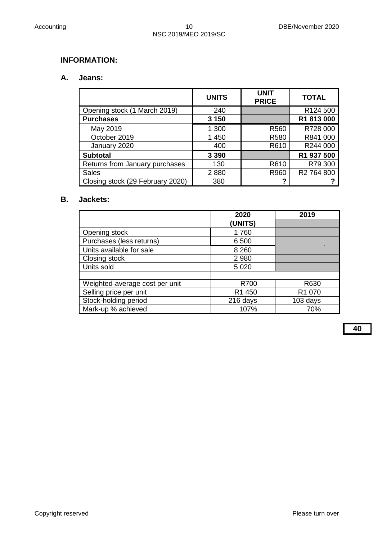# **INFORMATION:**

#### **A. Jeans:**

|                                  | <b>UNITS</b> | <b>UNIT</b><br><b>PRICE</b> | <b>TOTAL</b> |
|----------------------------------|--------------|-----------------------------|--------------|
| Opening stock (1 March 2019)     | 240          |                             | R124 500     |
| <b>Purchases</b>                 | 3 1 5 0      |                             | R1 813 000   |
| May 2019                         | 1 300        | R560                        | R728 000     |
| October 2019                     | 1 450        | R <sub>580</sub>            | R841 000     |
| January 2020                     | 400          | R610                        | R244 000     |
| <b>Subtotal</b>                  | 3 3 9 0      |                             | R1 937 500   |
| Returns from January purchases   | 130          | R610                        | R79 300      |
| <b>Sales</b>                     | 2880         | R960                        | R2 764 800   |
| Closing stock (29 February 2020) | 380          | 2                           |              |

# **B. Jackets:**

|                                | 2020               | 2019               |
|--------------------------------|--------------------|--------------------|
|                                | (UNITS)            |                    |
| Opening stock                  | 1760               |                    |
| Purchases (less returns)       | 6 500              |                    |
| Units available for sale       | 8 2 6 0            |                    |
| Closing stock                  | 2 9 8 0            |                    |
| Units sold                     | 5 0 20             |                    |
|                                |                    |                    |
| Weighted-average cost per unit | R700               | R630               |
| Selling price per unit         | R <sub>1</sub> 450 | R <sub>1</sub> 070 |
| Stock-holding period           | 216 days           | 103 days           |
| Mark-up % achieved             | 107%               | 70%                |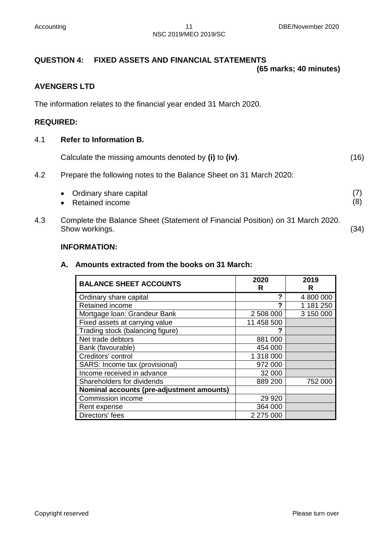# **QUESTION 4: FIXED ASSETS AND FINANCIAL STATEMENTS**

**(65 marks; 40 minutes)**

#### **AVENGERS LTD**

The information relates to the financial year ended 31 March 2020.

#### **REQUIRED:**

#### 4.1 **Refer to Information B.**

| Calculate the missing amounts denoted by (i) to (iv). | (16) |
|-------------------------------------------------------|------|
|-------------------------------------------------------|------|

4.2 Prepare the following notes to the Balance Sheet on 31 March 2020:

| • Ordinary share capital |  |
|--------------------------|--|
| • Retained income        |  |

4.3 Complete the Balance Sheet (Statement of Financial Position) on 31 March 2020. Show workings. (34)

#### **INFORMATION:**

#### **A. Amounts extracted from the books on 31 March:**

| <b>BALANCE SHEET ACCOUNTS</b>             | 2020<br>R  | 2019<br>R |
|-------------------------------------------|------------|-----------|
| Ordinary share capital                    | ?          | 4 800 000 |
| Retained income                           | 2          | 1 181 250 |
| Mortgage Ioan: Grandeur Bank              | 2 508 000  | 3 150 000 |
| Fixed assets at carrying value            | 11 458 500 |           |
| Trading stock (balancing figure)          | 2          |           |
| Net trade debtors                         | 881 000    |           |
| Bank (favourable)                         | 454 000    |           |
| Creditors' control                        | 1 318 000  |           |
| SARS: Income tax (provisional)            | 972 000    |           |
| Income received in advance                | 32 000     |           |
| Shareholders for dividends                | 889 200    | 752 000   |
| Nominal accounts (pre-adjustment amounts) |            |           |
| Commission income                         | 29 9 20    |           |
| Rent expense                              | 364 000    |           |
| Directors' fees                           | 2 275 000  |           |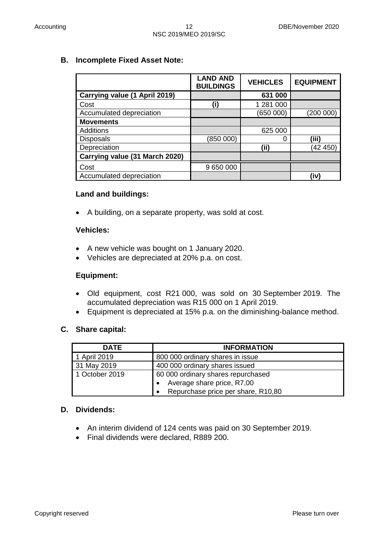# **B. Incomplete Fixed Asset Note:**

|                                | <b>LAND AND</b><br><b>BUILDINGS</b> | <b>VEHICLES</b> | <b>EQUIPMENT</b> |
|--------------------------------|-------------------------------------|-----------------|------------------|
| Carrying value (1 April 2019)  |                                     | 631 000         |                  |
| Cost                           | (i)                                 | 1 281 000       |                  |
| Accumulated depreciation       |                                     | (650 000)       | (200000)         |
| <b>Movements</b>               |                                     |                 |                  |
| <b>Additions</b>               |                                     | 625 000         |                  |
| <b>Disposals</b>               | (850 000)                           |                 | (iii)            |
| Depreciation                   |                                     | (i)             | (42 450)         |
| Carrying value (31 March 2020) |                                     |                 |                  |
| Cost                           | 9 650 000                           |                 |                  |
| Accumulated depreciation       |                                     |                 | (iv)             |

# **Land and buildings:**

A building, on a separate property, was sold at cost.

#### **Vehicles:**

- A new vehicle was bought on 1 January 2020.
- Vehicles are depreciated at 20% p.a. on cost.

#### **Equipment:**

- Old equipment, cost R21 000, was sold on 30 September 2019. The accumulated depreciation was R15 000 on 1 April 2019.
- Equipment is depreciated at 15% p.a. on the diminishing-balance method.

#### **C. Share capital:**

| <b>DATE</b>    | <b>INFORMATION</b>                              |  |  |
|----------------|-------------------------------------------------|--|--|
| 1 April 2019   | 800 000 ordinary shares in issue                |  |  |
| 31 May 2019    | 400 000 ordinary shares issued                  |  |  |
| 1 October 2019 | 60 000 ordinary shares repurchased              |  |  |
|                | Average share price, R7,00                      |  |  |
|                | Repurchase price per share, R10,80<br>$\bullet$ |  |  |

# **D. Dividends:**

- An interim dividend of 124 cents was paid on 30 September 2019.
- Final dividends were declared, R889 200.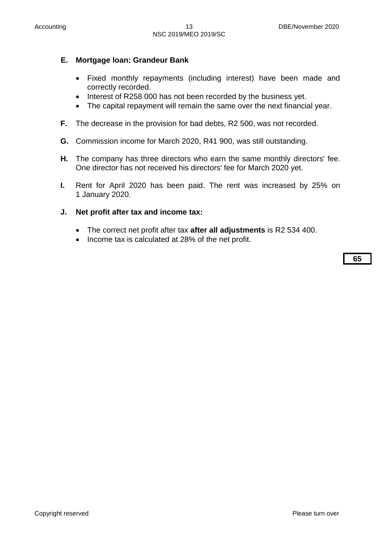# **E. Mortgage loan: Grandeur Bank**

- Fixed monthly repayments (including interest) have been made and correctly recorded.
- Interest of R258 000 has not been recorded by the business yet.
- The capital repayment will remain the same over the next financial year.
- **F.** The decrease in the provision for bad debts, R2 500, was not recorded.
- **G.** Commission income for March 2020, R41 900, was still outstanding.
- **H.** The company has three directors who earn the same monthly directors' fee. One director has not received his directors' fee for March 2020 yet.
- **I.** Rent for April 2020 has been paid. The rent was increased by 25% on 1 January 2020.

#### **J. Net profit after tax and income tax:**

- The correct net profit after tax **after all adjustments** is R2 534 400.
- Income tax is calculated at 28% of the net profit.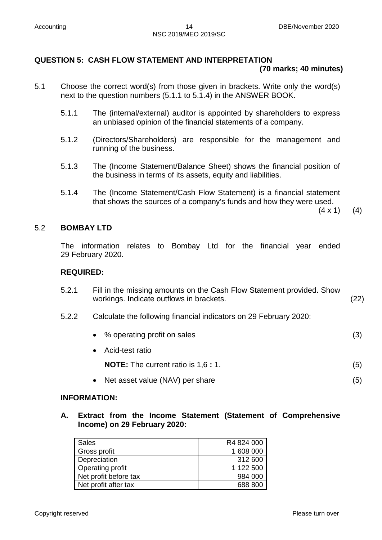#### **QUESTION 5: CASH FLOW STATEMENT AND INTERPRETATION (70 marks; 40 minutes)**

- 5.1 Choose the correct word(s) from those given in brackets. Write only the word(s) next to the question numbers (5.1.1 to 5.1.4) in the ANSWER BOOK.
	- 5.1.1 The (internal/external) auditor is appointed by shareholders to express an unbiased opinion of the financial statements of a company.
	- 5.1.2 (Directors/Shareholders) are responsible for the management and running of the business.
	- 5.1.3 The (Income Statement/Balance Sheet) shows the financial position of the business in terms of its assets, equity and liabilities.
	- 5.1.4 The (Income Statement/Cash Flow Statement) is a financial statement that shows the sources of a company's funds and how they were used.

 $(4 \times 1)$  (4)

# 5.2 **BOMBAY LTD**

The information relates to Bombay Ltd for the financial year ended 29 February 2020.

#### **REQUIRED:**

- 5.2.1 Fill in the missing amounts on the Cash Flow Statement provided. Show workings. Indicate outflows in brackets. (22)
- 5.2.2 Calculate the following financial indicators on 29 February 2020:

| • % operating profit on sales              |     |
|--------------------------------------------|-----|
| • Acid-test ratio                          |     |
| <b>NOTE:</b> The current ratio is 1,6 : 1. | (5) |

• Net asset value (NAV) per share (5)

### **INFORMATION:**

**A. Extract from the Income Statement (Statement of Comprehensive Income) on 29 February 2020:**

| <b>Sales</b>            | R4 824 000 |
|-------------------------|------------|
| Gross profit            | 1 608 000  |
| Depreciation            | 312 600    |
| <b>Operating profit</b> | 1 122 500  |
| Net profit before tax   | 984 000    |
| Net profit after tax    | 688 800    |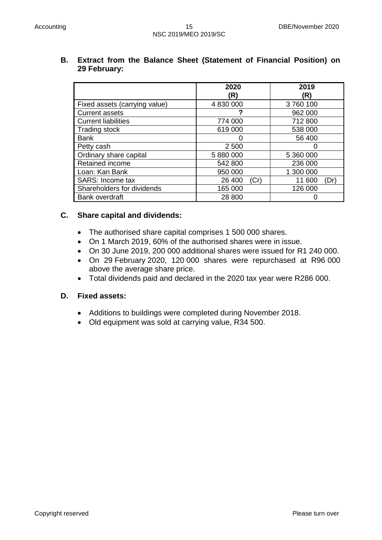|                               | 2020<br>(R)    | 2019<br>(R)    |
|-------------------------------|----------------|----------------|
| Fixed assets (carrying value) | 4 830 000      | 3760100        |
| <b>Current assets</b>         |                | 962 000        |
| <b>Current liabilities</b>    | 774 000        | 712 800        |
| Trading stock                 | 619 000        | 538 000        |
| <b>Bank</b>                   | 0              | 56 400         |
| Petty cash                    | 2 500          |                |
| Ordinary share capital        | 5 880 000      | 5 360 000      |
| Retained income               | 542 800        | 236 000        |
| Loan: Kan Bank                | 950 000        | 1 300 000      |
| SARS: Income tax              | 26 400<br>(Cr) | 11 600<br>(Dr) |
| Shareholders for dividends    | 165 000        | 126 000        |
| Bank overdraft                | 28 800         |                |

#### **B. Extract from the Balance Sheet (Statement of Financial Position) on 29 February:**

#### **C. Share capital and dividends:**

- The authorised share capital comprises 1 500 000 shares.
- On 1 March 2019, 60% of the authorised shares were in issue.
- On 30 June 2019, 200 000 additional shares were issued for R1 240 000.
- On 29 February 2020, 120 000 shares were repurchased at R96 000 above the average share price.
- Total dividends paid and declared in the 2020 tax year were R286 000.

#### **D. Fixed assets:**

- Additions to buildings were completed during November 2018.
- Old equipment was sold at carrying value, R34 500.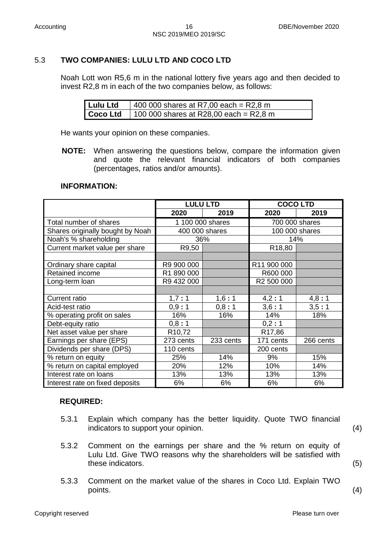# 5.3 **TWO COMPANIES: LULU LTD AND COCO LTD**

Noah Lott won R5,6 m in the national lottery five years ago and then decided to invest R2,8 m in each of the two companies below, as follows:

| Lulu Ltd | $1400000$ shares at R7,00 each = R2,8 m |
|----------|-----------------------------------------|
| Coco Ltd | 100 000 shares at R28,00 each = R2,8 m  |

He wants your opinion on these companies.

**NOTE:** When answering the questions below, compare the information given and quote the relevant financial indicators of both companies (percentages, ratios and/or amounts).

#### **INFORMATION:**

|                                  | <b>LULU LTD</b>    |                  | <b>COCOLTD</b> |                |
|----------------------------------|--------------------|------------------|----------------|----------------|
|                                  | 2020               | 2019             | 2020           | 2019           |
| Total number of shares           |                    | 1 100 000 shares | 700 000 shares |                |
| Shares originally bought by Noah |                    | 400 000 shares   |                | 100 000 shares |
| Noah's % shareholding            |                    | 36%              | 14%            |                |
| Current market value per share   | R9,50              |                  | R18,80         |                |
|                                  |                    |                  |                |                |
| Ordinary share capital           | R9 900 000         |                  | R11 900 000    |                |
| Retained income                  | R1 890 000         |                  | R600 000       |                |
| Long-term loan                   | R9 432 000         |                  | R2 500 000     |                |
|                                  |                    |                  |                |                |
| <b>Current ratio</b>             | 1,7:1              | 1,6:1            | 4,2:1          | 4,8:1          |
| Acid-test ratio                  | 0,9:1              | 0,8:1            | 3,6:1          | 3,5:1          |
| % operating profit on sales      | 16%                | 16%              | 14%            | 18%            |
| Debt-equity ratio                | 0,8:1              |                  | 0,2:1          |                |
| Net asset value per share        | R <sub>10,72</sub> |                  | R17,86         |                |
| Earnings per share (EPS)         | 273 cents          | 233 cents        | 171 cents      | 266 cents      |
| Dividends per share (DPS)        | 110 cents          |                  | 200 cents      |                |
| % return on equity               | 25%                | 14%              | 9%             | 15%            |
| % return on capital employed     | 20%                | 12%              | 10%            | 14%            |
| Interest rate on loans           | 13%                | 13%              | 13%            | 13%            |
| Interest rate on fixed deposits  | 6%                 | 6%               | 6%             | 6%             |

# **REQUIRED:**

- 5.3.1 Explain which company has the better liquidity. Quote TWO financial indicators to support your opinion. (4)
- 5.3.2 Comment on the earnings per share and the % return on equity of Lulu Ltd. Give TWO reasons why the shareholders will be satisfied with these indicators. (5)
- 5.3.3 Comment on the market value of the shares in Coco Ltd. Explain TWO points. (4)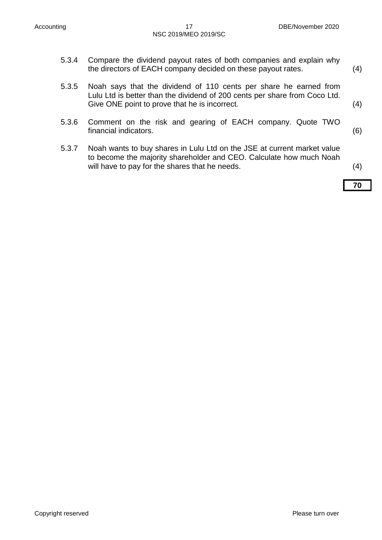- 5.3.4 Compare the dividend payout rates of both companies and explain why the directors of EACH company decided on these payout rates. (4)
- 5.3.5 Noah says that the dividend of 110 cents per share he earned from Lulu Ltd is better than the dividend of 200 cents per share from Coco Ltd. Give ONE point to prove that he is incorrect. (4)
- 5.3.6 Comment on the risk and gearing of EACH company. Quote TWO financial indicators. (6)
- 5.3.7 Noah wants to buy shares in Lulu Ltd on the JSE at current market value to become the majority shareholder and CEO. Calculate how much Noah will have to pay for the shares that he needs. (4)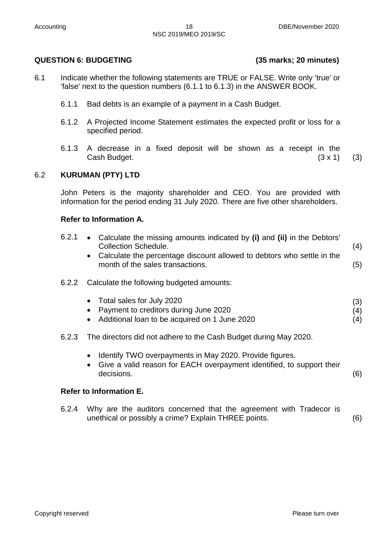# **QUESTION 6: BUDGETING (35 marks; 20 minutes)**

- 6.1 Indicate whether the following statements are TRUE or FALSE. Write only 'true' or 'false' next to the question numbers (6.1.1 to 6.1.3) in the ANSWER BOOK.
	- 6.1.1 Bad debts is an example of a payment in a Cash Budget.
	- 6.1.2 A Projected Income Statement estimates the expected profit or loss for a specified period.
	- 6.1.3 A decrease in a fixed deposit will be shown as a receipt in the Cash Budget.  $(3 \times 1)$  (3)

6.2 **KURUMAN (PTY) LTD**

John Peters is the majority shareholder and CEO. You are provided with information for the period ending 31 July 2020. There are five other shareholders.

# **Refer to Information A.**

| 6.2.1 | • Calculate the missing amounts indicated by (i) and (ii) in the Debtors'<br><b>Collection Schedule.</b><br>• Calculate the percentage discount allowed to debtors who settle in the<br>month of the sales transactions. | (4)<br>(5)        |
|-------|--------------------------------------------------------------------------------------------------------------------------------------------------------------------------------------------------------------------------|-------------------|
| 6.2.2 | Calculate the following budgeted amounts:                                                                                                                                                                                |                   |
|       | Total sales for July 2020<br>$\bullet$<br>Payment to creditors during June 2020<br>• Additional loan to be acquired on 1 June 2020                                                                                       | (3)<br>(4)<br>(4) |
| 6.2.3 | The directors did not adhere to the Cash Budget during May 2020.                                                                                                                                                         |                   |
|       | Identify TWO overpayments in May 2020. Provide figures.<br>$\bullet$<br>• Give a valid reason for EACH overpayment identified, to support their                                                                          |                   |

#### **Refer to Information E.**

6.2.4 Why are the auditors concerned that the agreement with Tradecor is unethical or possibly a crime? Explain THREE points. (6)

decisions. (6)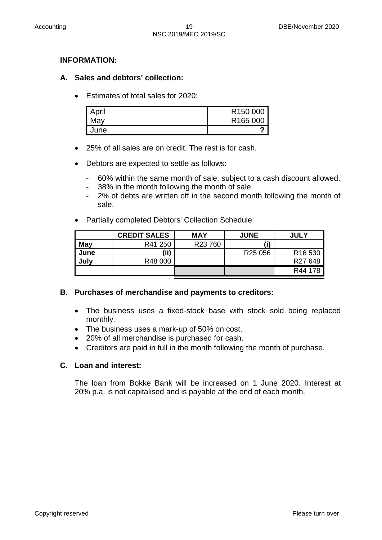# **INFORMATION:**

# **A. Sales and debtors' collection:**

**Estimates of total sales for 2020:** 

| April | R <sub>150</sub> 000 |
|-------|----------------------|
| May   | R165 000             |
| June  |                      |

- 25% of all sales are on credit. The rest is for cash.
- Debtors are expected to settle as follows:
	- 60% within the same month of sale, subject to a cash discount allowed.
	- 38% in the month following the month of sale.
	- 2% of debts are written off in the second month following the month of sale.
- Partially completed Debtors' Collection Schedule:

|            | <b>CREDIT SALES</b> | <b>MAY</b> | <b>JUNE</b>         | <b>JULY</b>         |
|------------|---------------------|------------|---------------------|---------------------|
| <b>May</b> | R41 250             | R23 760    | (i)                 |                     |
| June       | (ii)                |            | R <sub>25</sub> 056 | R <sub>16</sub> 530 |
| July       | R48 000             |            |                     | R27 648             |
|            |                     |            |                     | R44 178             |

#### **B. Purchases of merchandise and payments to creditors:**

- The business uses a fixed-stock base with stock sold being replaced monthly.
- The business uses a mark-up of 50% on cost.
- 20% of all merchandise is purchased for cash.
- Creditors are paid in full in the month following the month of purchase.

#### **C. Loan and interest:**

The loan from Bokke Bank will be increased on 1 June 2020. Interest at 20% p.a. is not capitalised and is payable at the end of each month.